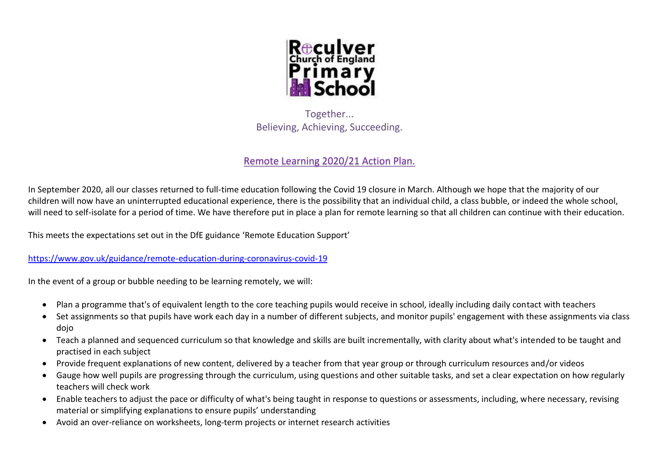

Together... Believing, Achieving, Succeeding.

# Remote Learning 2020/21 Action Plan.

In September 2020, all our classes returned to full-time education following the Covid 19 closure in March. Although we hope that the majority of our children will now have an uninterrupted educational experience, there is the possibility that an individual child, a class bubble, or indeed the whole school, will need to self-isolate for a period of time. We have therefore put in place a plan for remote learning so that all children can continue with their education.

This meets the expectations set out in the DfE guidance 'Remote Education Support'

<https://www.gov.uk/guidance/remote-education-during-coronavirus-covid-19>

In the event of a group or bubble needing to be learning remotely, we will:

- Plan a programme that's of equivalent length to the core teaching pupils would receive in school, ideally including daily contact with teachers
- Set assignments so that pupils have work each day in a number of different subjects, and monitor pupils' engagement with these assignments via class dojo
- Teach a planned and sequenced curriculum so that knowledge and skills are built incrementally, with clarity about what's intended to be taught and practised in each subject
- Provide frequent explanations of new content, delivered by a teacher from that year group or through curriculum resources and/or videos
- Gauge how well pupils are progressing through the curriculum, using questions and other suitable tasks, and set a clear expectation on how regularly teachers will check work
- Enable teachers to adjust the pace or difficulty of what's being taught in response to questions or assessments, including, where necessary, revising material or simplifying explanations to ensure pupils' understanding
- Avoid an over-reliance on worksheets, long-term projects or internet research activities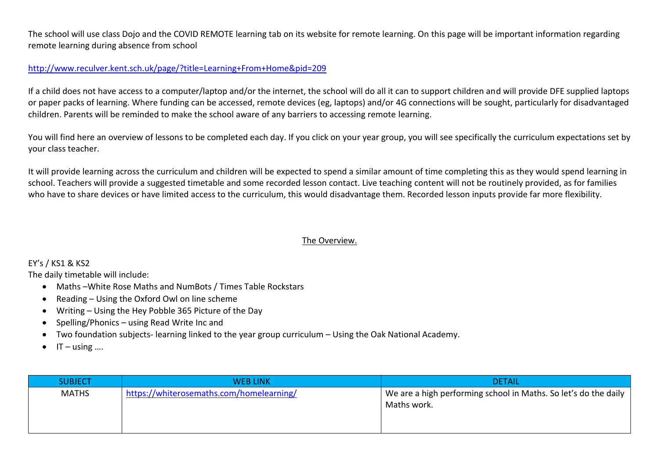The school will use class Dojo and the COVID REMOTE learning tab on its website for remote learning. On this page will be important information regarding remote learning during absence from school

#### <http://www.reculver.kent.sch.uk/page/?title=Learning+From+Home&pid=209>

If a child does not have access to a computer/laptop and/or the internet, the school will do all it can to support children and will provide DFE supplied laptops or paper packs of learning. Where funding can be accessed, remote devices (eg, laptops) and/or 4G connections will be sought, particularly for disadvantaged children. Parents will be reminded to make the school aware of any barriers to accessing remote learning.

You will find here an overview of lessons to be completed each day. If you click on your year group, you will see specifically the curriculum expectations set by your class teacher.

It will provide learning across the curriculum and children will be expected to spend a similar amount of time completing this as they would spend learning in school. Teachers will provide a suggested timetable and some recorded lesson contact. Live teaching content will not be routinely provided, as for families who have to share devices or have limited access to the curriculum, this would disadvantage them. Recorded lesson inputs provide far more flexibility.

#### The Overview.

#### EY's / KS1 & KS2

The daily timetable will include:

- Maths –White Rose Maths and NumBots / Times Table Rockstars
- Reading Using the Oxford Owl on line scheme
- Writing Using the Hey Pobble 365 Picture of the Day
- Spelling/Phonics using Read Write Inc and
- Two foundation subjects- learning linked to the year group curriculum Using the Oak National Academy.
- $\bullet$  IT using  $\ldots$

| <b>SUBJECT</b> | <b>WEB LINK</b>                          | <b>DETAIL</b>                                                                  |
|----------------|------------------------------------------|--------------------------------------------------------------------------------|
| <b>MATHS</b>   | https://whiterosemaths.com/homelearning/ | We are a high performing school in Maths. So let's do the daily<br>Maths work. |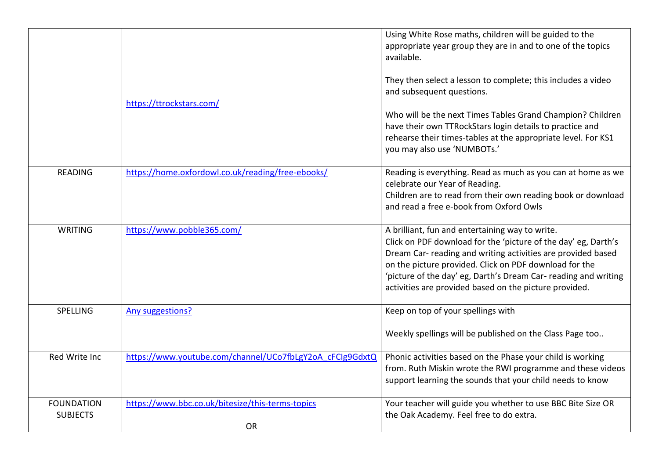|                                      |                                                               | Using White Rose maths, children will be guided to the<br>appropriate year group they are in and to one of the topics<br>available.                                                                                                                                                                                                                                      |
|--------------------------------------|---------------------------------------------------------------|--------------------------------------------------------------------------------------------------------------------------------------------------------------------------------------------------------------------------------------------------------------------------------------------------------------------------------------------------------------------------|
|                                      | https://ttrockstars.com/                                      | They then select a lesson to complete; this includes a video<br>and subsequent questions.                                                                                                                                                                                                                                                                                |
|                                      |                                                               | Who will be the next Times Tables Grand Champion? Children<br>have their own TTRockStars login details to practice and<br>rehearse their times-tables at the appropriate level. For KS1<br>you may also use 'NUMBOTs.'                                                                                                                                                   |
| <b>READING</b>                       | https://home.oxfordowl.co.uk/reading/free-ebooks/             | Reading is everything. Read as much as you can at home as we<br>celebrate our Year of Reading.<br>Children are to read from their own reading book or download<br>and read a free e-book from Oxford Owls                                                                                                                                                                |
| <b>WRITING</b>                       | https://www.pobble365.com/                                    | A brilliant, fun and entertaining way to write.<br>Click on PDF download for the 'picture of the day' eg, Darth's<br>Dream Car- reading and writing activities are provided based<br>on the picture provided. Click on PDF download for the<br>'picture of the day' eg, Darth's Dream Car- reading and writing<br>activities are provided based on the picture provided. |
| <b>SPELLING</b>                      | <b>Any suggestions?</b>                                       | Keep on top of your spellings with<br>Weekly spellings will be published on the Class Page too                                                                                                                                                                                                                                                                           |
| Red Write Inc                        | https://www.youtube.com/channel/UCo7fbLgY2oA cFClg9GdxtQ      | Phonic activities based on the Phase your child is working<br>from. Ruth Miskin wrote the RWI programme and these videos<br>support learning the sounds that your child needs to know                                                                                                                                                                                    |
| <b>FOUNDATION</b><br><b>SUBJECTS</b> | https://www.bbc.co.uk/bitesize/this-terms-topics<br><b>OR</b> | Your teacher will guide you whether to use BBC Bite Size OR<br>the Oak Academy. Feel free to do extra.                                                                                                                                                                                                                                                                   |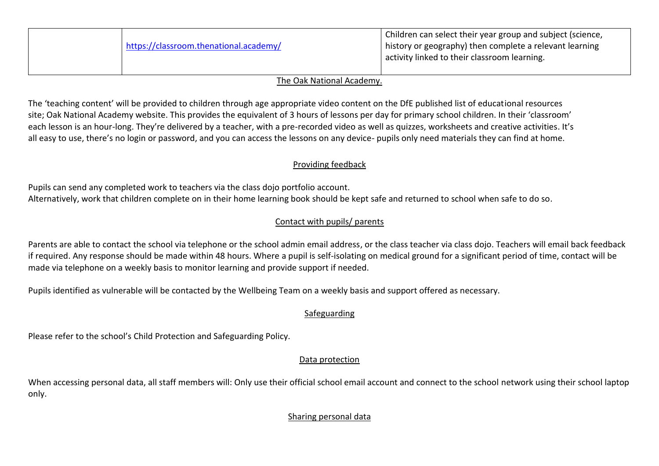| https://classroom.thenational.academy/ | Children can select their year group and subject (science,<br>I history or geography) then complete a relevant learning<br>activity linked to their classroom learning. |
|----------------------------------------|-------------------------------------------------------------------------------------------------------------------------------------------------------------------------|
|----------------------------------------|-------------------------------------------------------------------------------------------------------------------------------------------------------------------------|

#### The Oak National Academy.

The 'teaching content' will be provided to children through age appropriate video content on the DfE published list of educational resources site; Oak National Academy website. This provides the equivalent of 3 hours of lessons per day for primary school children. In their 'classroom' each lesson is an hour-long. They're delivered by a teacher, with a pre-recorded video as well as quizzes, worksheets and creative activities. It's all easy to use, there's no login or password, and you can access the lessons on any device- pupils only need materials they can find at home.

## Providing feedback

Pupils can send any completed work to teachers via the class dojo portfolio account. Alternatively, work that children complete on in their home learning book should be kept safe and returned to school when safe to do so.

## Contact with pupils/ parents

Parents are able to contact the school via telephone or the school admin email address, or the class teacher via class dojo. Teachers will email back feedback if required. Any response should be made within 48 hours. Where a pupil is self-isolating on medical ground for a significant period of time, contact will be made via telephone on a weekly basis to monitor learning and provide support if needed.

Pupils identified as vulnerable will be contacted by the Wellbeing Team on a weekly basis and support offered as necessary.

## Safeguarding

Please refer to the school's Child Protection and Safeguarding Policy.

## Data protection

When accessing personal data, all staff members will: Only use their official school email account and connect to the school network using their school laptop only.

# Sharing personal data